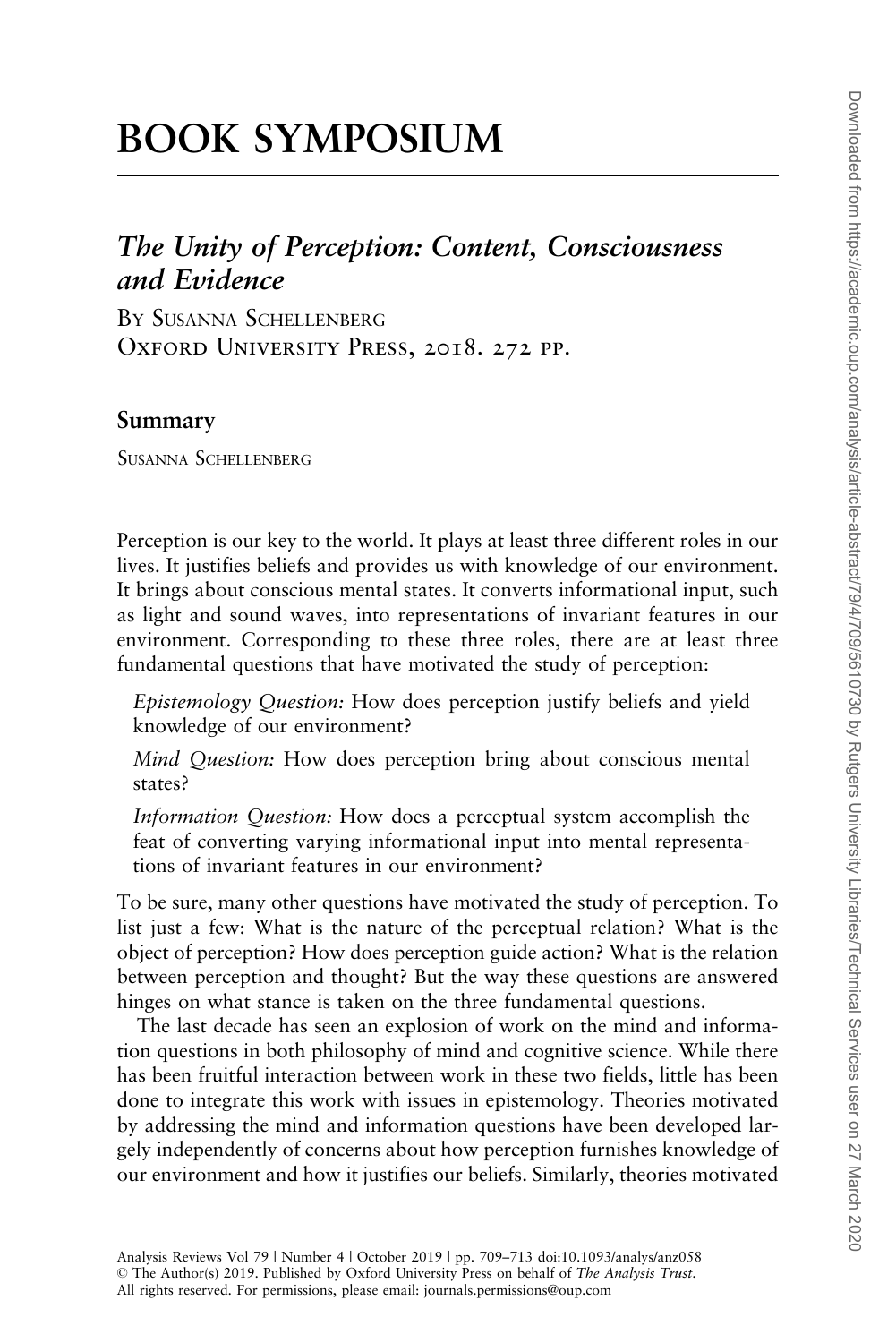# BOOK SYMPOSIUM

## The Unity of Perception: Content, Consciousness and Evidence

BY SUSANNA SCHELLENBERG OXFORD UNIVERSITY PRESS, 2018. 272 PP.

#### Summary

SUSANNA SCHELLENBERG

Perception is our key to the world. It plays at least three different roles in our lives. It justifies beliefs and provides us with knowledge of our environment. It brings about conscious mental states. It converts informational input, such as light and sound waves, into representations of invariant features in our environment. Corresponding to these three roles, there are at least three fundamental questions that have motivated the study of perception:

Epistemology Question: How does perception justify beliefs and yield knowledge of our environment?

Mind Question: How does perception bring about conscious mental states?

Information Question: How does a perceptual system accomplish the feat of converting varying informational input into mental representations of invariant features in our environment?

To be sure, many other questions have motivated the study of perception. To list just a few: What is the nature of the perceptual relation? What is the object of perception? How does perception guide action? What is the relation between perception and thought? But the way these questions are answered hinges on what stance is taken on the three fundamental questions.

The last decade has seen an explosion of work on the mind and information questions in both philosophy of mind and cognitive science. While there has been fruitful interaction between work in these two fields, little has been done to integrate this work with issues in epistemology. Theories motivated by addressing the mind and information questions have been developed largely independently of concerns about how perception furnishes knowledge of our environment and how it justifies our beliefs. Similarly, theories motivated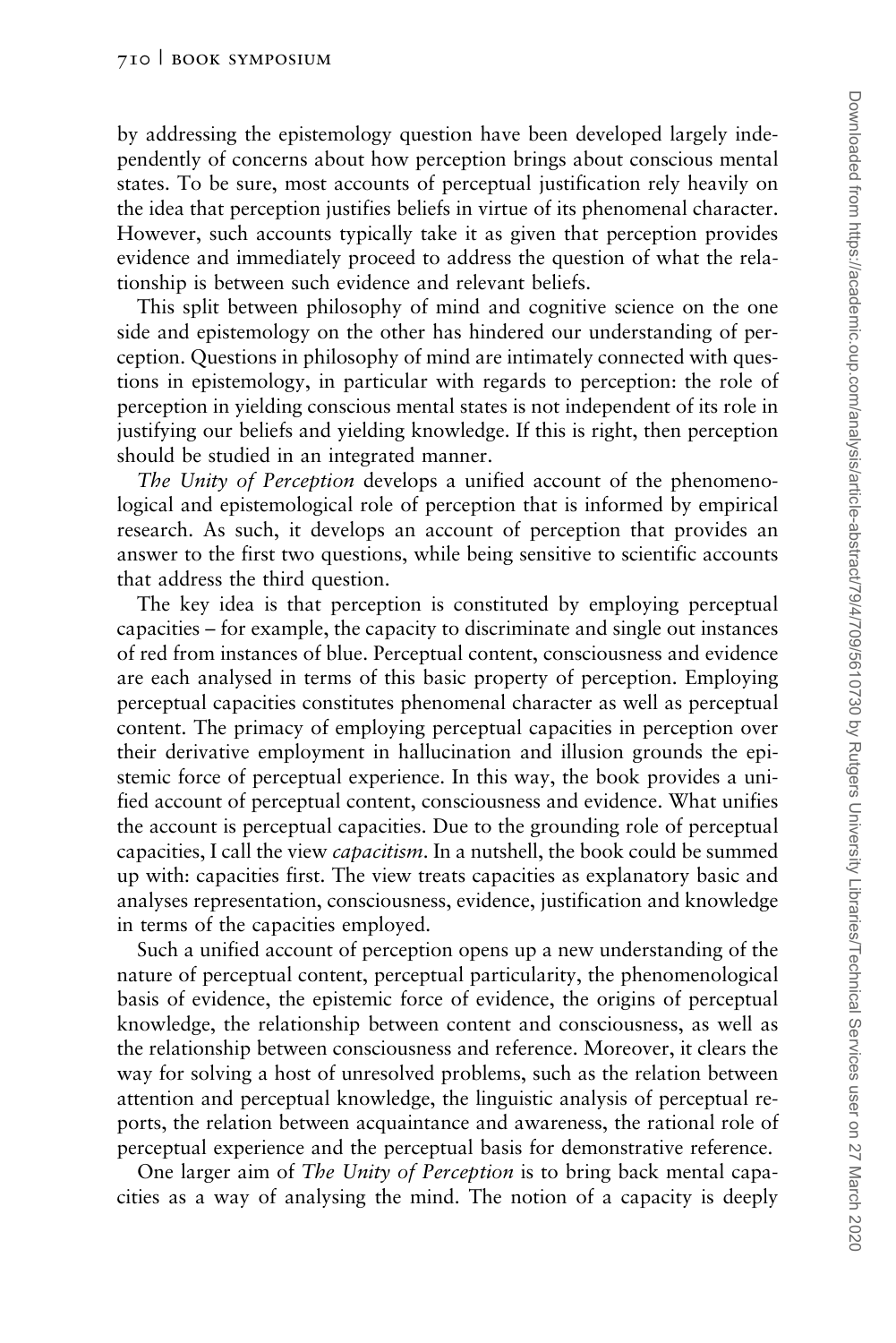by addressing the epistemology question have been developed largely independently of concerns about how perception brings about conscious mental states. To be sure, most accounts of perceptual justification rely heavily on the idea that perception justifies beliefs in virtue of its phenomenal character. However, such accounts typically take it as given that perception provides evidence and immediately proceed to address the question of what the relationship is between such evidence and relevant beliefs.

This split between philosophy of mind and cognitive science on the one side and epistemology on the other has hindered our understanding of perception. Questions in philosophy of mind are intimately connected with questions in epistemology, in particular with regards to perception: the role of perception in yielding conscious mental states is not independent of its role in justifying our beliefs and yielding knowledge. If this is right, then perception should be studied in an integrated manner.

The Unity of Perception develops a unified account of the phenomenological and epistemological role of perception that is informed by empirical research. As such, it develops an account of perception that provides an answer to the first two questions, while being sensitive to scientific accounts that address the third question.

The key idea is that perception is constituted by employing perceptual capacities – for example, the capacity to discriminate and single out instances of red from instances of blue. Perceptual content, consciousness and evidence are each analysed in terms of this basic property of perception. Employing perceptual capacities constitutes phenomenal character as well as perceptual content. The primacy of employing perceptual capacities in perception over their derivative employment in hallucination and illusion grounds the epistemic force of perceptual experience. In this way, the book provides a unified account of perceptual content, consciousness and evidence. What unifies the account is perceptual capacities. Due to the grounding role of perceptual capacities, I call the view *capacitism*. In a nutshell, the book could be summed up with: capacities first. The view treats capacities as explanatory basic and analyses representation, consciousness, evidence, justification and knowledge in terms of the capacities employed.

Such a unified account of perception opens up a new understanding of the nature of perceptual content, perceptual particularity, the phenomenological basis of evidence, the epistemic force of evidence, the origins of perceptual knowledge, the relationship between content and consciousness, as well as the relationship between consciousness and reference. Moreover, it clears the way for solving a host of unresolved problems, such as the relation between attention and perceptual knowledge, the linguistic analysis of perceptual reports, the relation between acquaintance and awareness, the rational role of perceptual experience and the perceptual basis for demonstrative reference.

One larger aim of The Unity of Perception is to bring back mental capacities as a way of analysing the mind. The notion of a capacity is deeply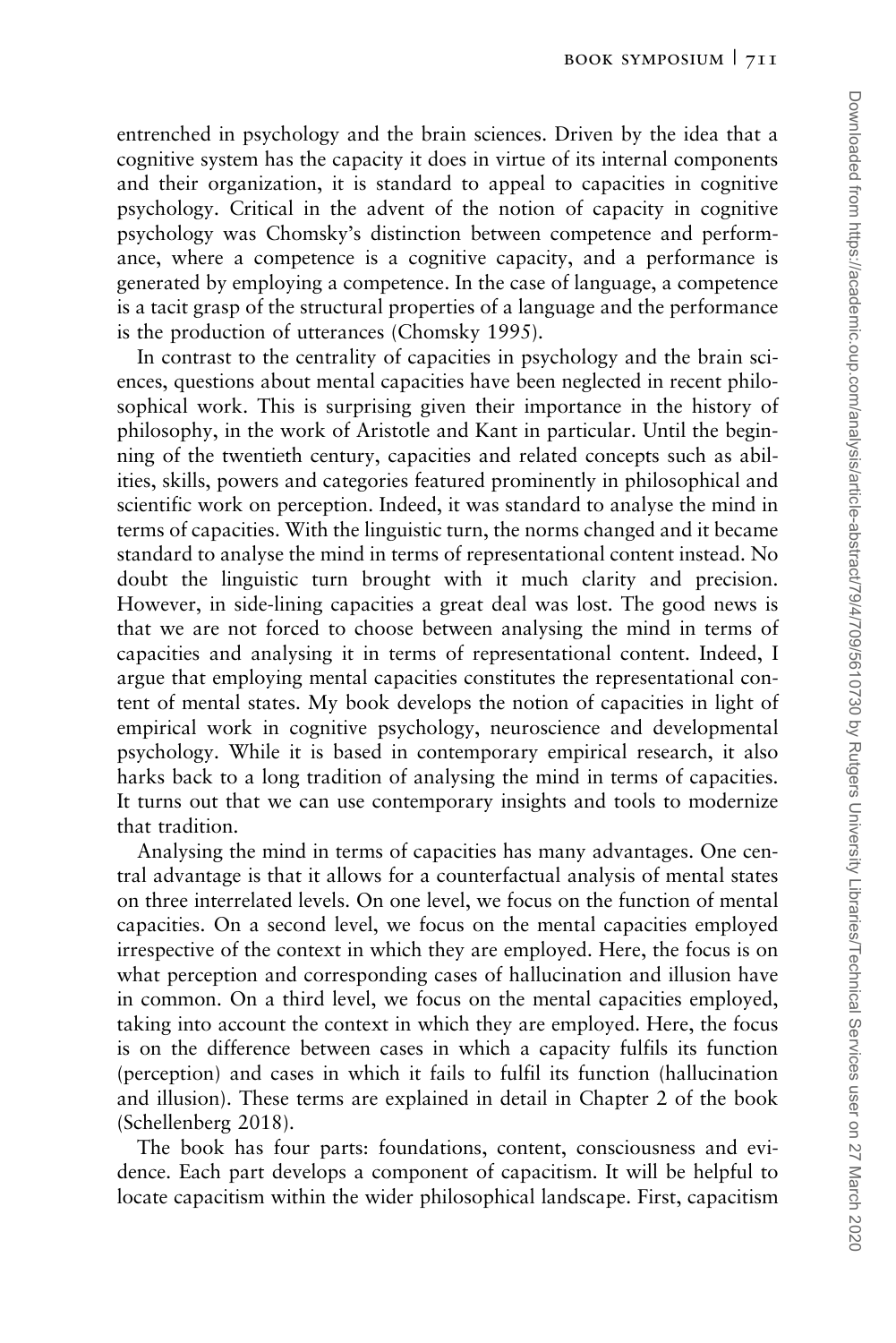entrenched in psychology and the brain sciences. Driven by the idea that a cognitive system has the capacity it does in virtue of its internal components and their organization, it is standard to appeal to capacities in cognitive psychology. Critical in the advent of the notion of capacity in cognitive psychology was Chomsky's distinction between competence and performance, where a competence is a cognitive capacity, and a performance is generated by employing a competence. In the case of language, a competence is a tacit grasp of the structural properties of a language and the performance is the production of utterances [\(Chomsky 1995\)](#page-4-0).

In contrast to the centrality of capacities in psychology and the brain sciences, questions about mental capacities have been neglected in recent philosophical work. This is surprising given their importance in the history of philosophy, in the work of Aristotle and Kant in particular. Until the beginning of the twentieth century, capacities and related concepts such as abilities, skills, powers and categories featured prominently in philosophical and scientific work on perception. Indeed, it was standard to analyse the mind in terms of capacities. With the linguistic turn, the norms changed and it became standard to analyse the mind in terms of representational content instead. No doubt the linguistic turn brought with it much clarity and precision. However, in side-lining capacities a great deal was lost. The good news is that we are not forced to choose between analysing the mind in terms of capacities and analysing it in terms of representational content. Indeed, I argue that employing mental capacities constitutes the representational content of mental states. My book develops the notion of capacities in light of empirical work in cognitive psychology, neuroscience and developmental psychology. While it is based in contemporary empirical research, it also harks back to a long tradition of analysing the mind in terms of capacities. It turns out that we can use contemporary insights and tools to modernize that tradition.

Analysing the mind in terms of capacities has many advantages. One central advantage is that it allows for a counterfactual analysis of mental states on three interrelated levels. On one level, we focus on the function of mental capacities. On a second level, we focus on the mental capacities employed irrespective of the context in which they are employed. Here, the focus is on what perception and corresponding cases of hallucination and illusion have in common. On a third level, we focus on the mental capacities employed, taking into account the context in which they are employed. Here, the focus is on the difference between cases in which a capacity fulfils its function (perception) and cases in which it fails to fulfil its function (hallucination and illusion). These terms are explained in detail in Chapter 2 of the book ([Schellenberg 2018\)](#page-4-0).

The book has four parts: foundations, content, consciousness and evidence. Each part develops a component of capacitism. It will be helpful to locate capacitism within the wider philosophical landscape. First, capacitism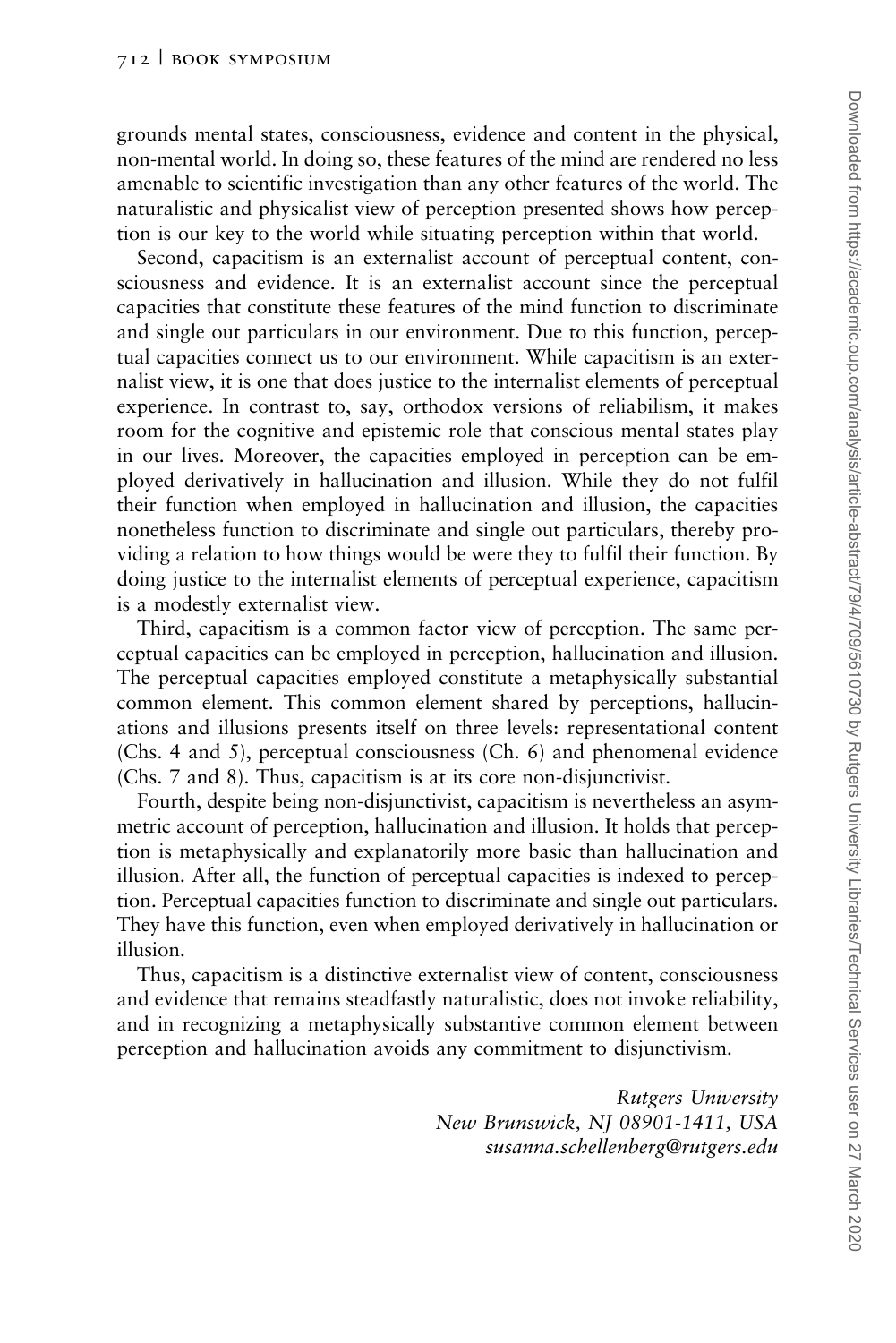grounds mental states, consciousness, evidence and content in the physical, non-mental world. In doing so, these features of the mind are rendered no less amenable to scientific investigation than any other features of the world. The naturalistic and physicalist view of perception presented shows how perception is our key to the world while situating perception within that world.

Second, capacitism is an externalist account of perceptual content, consciousness and evidence. It is an externalist account since the perceptual capacities that constitute these features of the mind function to discriminate and single out particulars in our environment. Due to this function, perceptual capacities connect us to our environment. While capacitism is an externalist view, it is one that does justice to the internalist elements of perceptual experience. In contrast to, say, orthodox versions of reliabilism, it makes room for the cognitive and epistemic role that conscious mental states play in our lives. Moreover, the capacities employed in perception can be employed derivatively in hallucination and illusion. While they do not fulfil their function when employed in hallucination and illusion, the capacities nonetheless function to discriminate and single out particulars, thereby providing a relation to how things would be were they to fulfil their function. By doing justice to the internalist elements of perceptual experience, capacitism is a modestly externalist view.

Third, capacitism is a common factor view of perception. The same perceptual capacities can be employed in perception, hallucination and illusion. The perceptual capacities employed constitute a metaphysically substantial common element. This common element shared by perceptions, hallucinations and illusions presents itself on three levels: representational content (Chs. 4 and 5), perceptual consciousness (Ch. 6) and phenomenal evidence (Chs. 7 and 8). Thus, capacitism is at its core non-disjunctivist.

Fourth, despite being non-disjunctivist, capacitism is nevertheless an asymmetric account of perception, hallucination and illusion. It holds that perception is metaphysically and explanatorily more basic than hallucination and illusion. After all, the function of perceptual capacities is indexed to perception. Perceptual capacities function to discriminate and single out particulars. They have this function, even when employed derivatively in hallucination or illusion.

Thus, capacitism is a distinctive externalist view of content, consciousness and evidence that remains steadfastly naturalistic, does not invoke reliability, and in recognizing a metaphysically substantive common element between perception and hallucination avoids any commitment to disjunctivism.

> Rutgers University New Brunswick, NJ 08901-1411, USA susanna.schellenberg@rutgers.edu